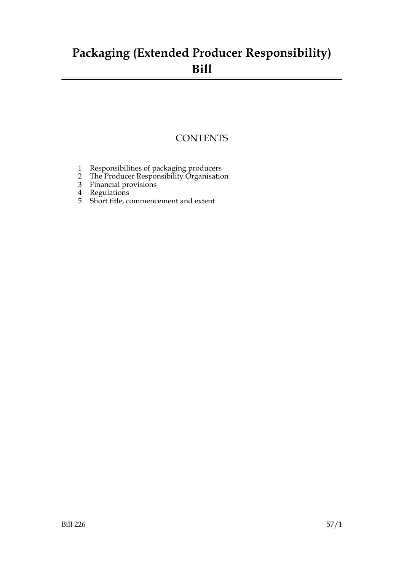### **Packaging (Extended Producer Responsibility) Bill**

### **CONTENTS**

- 1 Responsibilities of packaging producers
- 2 The Producer Responsibility Organisation
- 3 Financial provisions
- 4 Regulations
- 5 Short title, commencement and extent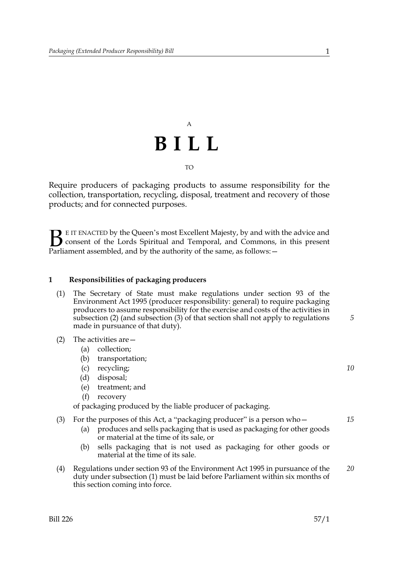## A **BILL** TO

Require producers of packaging products to assume responsibility for the collection, transportation, recycling, disposal, treatment and recovery of those products; and for connected purposes.

E IT ENACTED by the Queen's most Excellent Majesty, by and with the advice and consent of the Lords Spiritual and Temporal, and Commons, in this present Parliament assembled, and by the authority of the same, as follows: - $\mathbf{B}_{\text{e}$ 

#### **1 Responsibilities of packaging producers**

- (1) The Secretary of State must make regulations under section 93 of the Environment Act 1995 (producer responsibility: general) to require packaging producers to assume responsibility for the exercise and costs of the activities in subsection (2) (and subsection (3) of that section shall not apply to regulations made in pursuance of that duty).
- (2) The activities are—
	- (a) collection;
	- (b) transportation;
	- (c) recycling;
	- (d) disposal;
	- (e) treatment; and
	- (f) recovery

of packaging produced by the liable producer of packaging.

(3) For the purposes of this Act, a "packaging producer" is a person who $-$ 

- (a) produces and sells packaging that is used as packaging for other goods or material at the time of its sale, or
- (b) sells packaging that is not used as packaging for other goods or material at the time of its sale.
- (4) Regulations under section 93 of the Environment Act 1995 in pursuance of the duty under subsection (1) must be laid before Parliament within six months of this section coming into force. *20*

*5*

*10*

*15*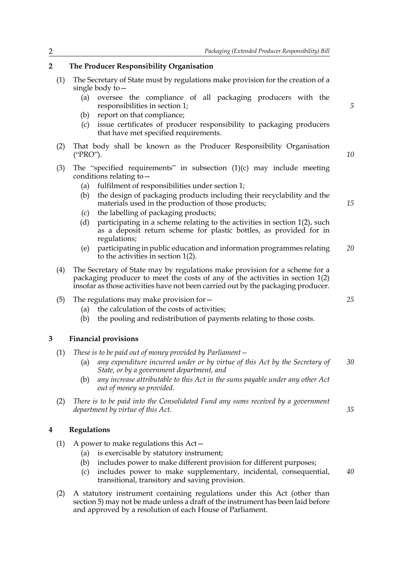#### **2 The Producer Responsibility Organisation**

- (1) The Secretary of State must by regulations make provision for the creation of a single body to—
	- (a) oversee the compliance of all packaging producers with the responsibilities in section 1;
	- (b) report on that compliance;
	- (c) issue certificates of producer responsibility to packaging producers that have met specified requirements.
- (2) That body shall be known as the Producer Responsibility Organisation ("PRO").
- (3) The "specified requirements" in subsection (1)(c) may include meeting conditions relating to—
	- (a) fulfilment of responsibilities under section 1;
	- (b) the design of packaging products including their recyclability and the materials used in the production of those products;
	- (c) the labelling of packaging products;
	- (d) participating in a scheme relating to the activities in section 1(2), such as a deposit return scheme for plastic bottles, as provided for in regulations;
	- (e) participating in public education and information programmes relating to the activities in section 1(2). *20*
- (4) The Secretary of State may by regulations make provision for a scheme for a packaging producer to meet the costs of any of the activities in section 1(2) insofar as those activities have not been carried out by the packaging producer.
- (5) The regulations may make provision for—
	- (a) the calculation of the costs of activities;
	- (b) the pooling and redistribution of payments relating to those costs.

#### **3 Financial provisions**

- (1) *These is to be paid out of money provided by Parliament—*
	- (a) *any expenditure incurred under or by virtue of this Act by the Secretary of State, or by a government department, and 30*
	- (b) *any increase attributable to this Act in the sums payable under any other Act out of money so provided.*
- (2) *There is to be paid into the Consolidated Fund any sums received by a government department by virtue of this Act.*

#### **4 Regulations**

- (1) A power to make regulations this Act—
	- (a) is exercisable by statutory instrument;
	- (b) includes power to make different provision for different purposes;
	- (c) includes power to make supplementary, incidental, consequential, transitional, transitory and saving provision. *40*
- (2) A statutory instrument containing regulations under this Act (other than section 5) may not be made unless a draft of the instrument has been laid before and approved by a resolution of each House of Parliament.

*25*

*35*

*5*

*10*

*15*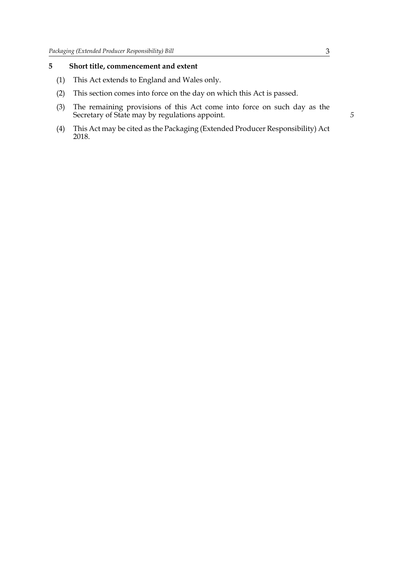### **5 Short title, commencement and extent**

- (1) This Act extends to England and Wales only.
- (2) This section comes into force on the day on which this Act is passed.
- (3) The remaining provisions of this Act come into force on such day as the Secretary of State may by regulations appoint.
- (4) This Act may be cited as the Packaging (Extended Producer Responsibility) Act 2018.